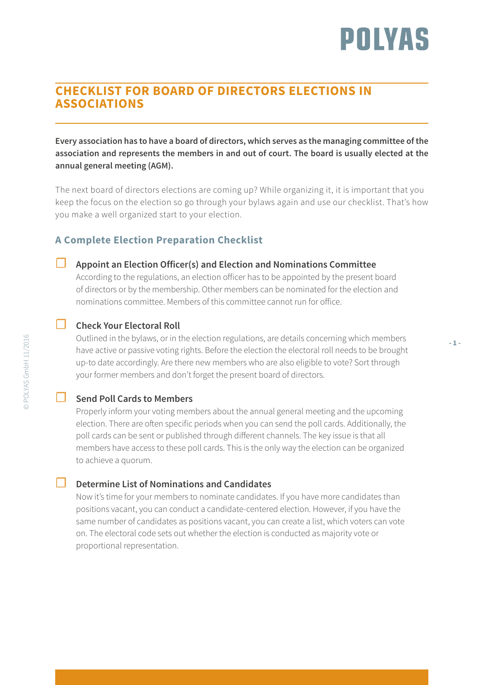# POLYAS

**- 1 -**

## **CHECKLIST FOR BOARD OF DIRECTORS ELECTIONS IN ASSOCIATIONS**

**Every association has to have a board of directors, which serves as the managing committee of the association and represents the members in and out of court. The board is usually elected at the annual general meeting (AGM).**

The next board of directors elections are coming up? While organizing it, it is important that you keep the focus on the election so go through your bylaws again and use our checklist. That's how you make a well organized start to your election.

## **A Complete Election Preparation Checklist**

#### **☐ Appoint an Election Officer(s) and Election and Nominations Committee**

According to the regulations, an election officer has to be appointed by the present board of directors or by the membership. Other members can be nominated for the election and nominations committee. Members of this committee cannot run for office.

## **☐ Check Your Electoral Roll**

Outlined in the bylaws, or in the election regulations, are details concerning which members have active or passive voting rights. Before the election the electoral roll needs to be brought up-to date accordingly. Are there new members who are also eligible to vote? Sort through your former members and don't forget the present board of directors.

## **Send Poll Cards to Members**

Properly inform your voting members about the annual general meeting and the upcoming election. There are often specific periods when you can send the poll cards. Additionally, the poll cards can be sent or published through different channels. The key issue is that all members have access to these poll cards. This is the only way the election can be organized to achieve a quorum.

### **☐ Determine List of Nominations and Candidates**

Now it's time for your members to nominate candidates. If you have more candidates than positions vacant, you can conduct a candidate-centered election. However, if you have the same number of candidates as positions vacant, you can create a list, which voters can vote on. The electoral code sets out whether the election is conducted as majority vote or proportional representation.